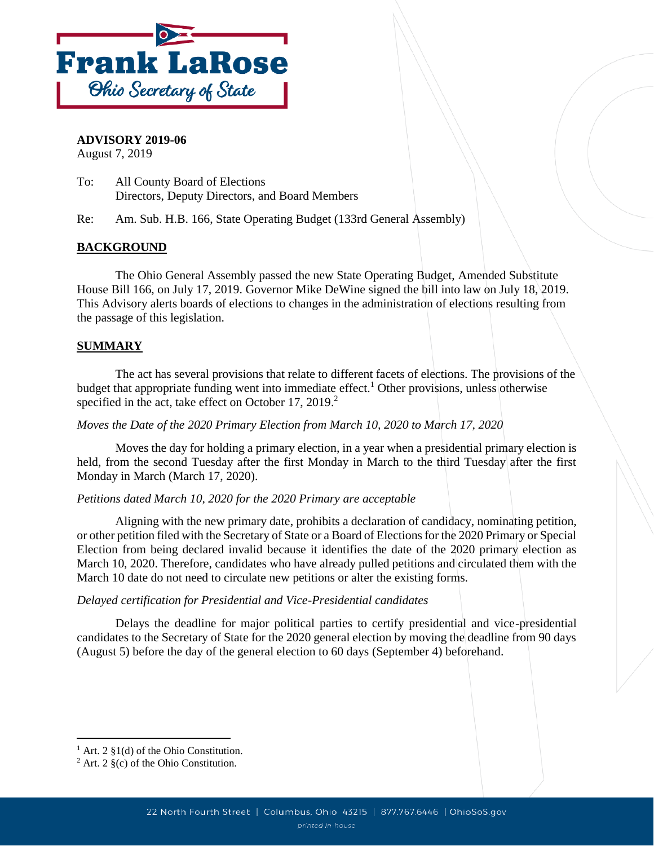

**ADVISORY 2019-06** August 7, 2019

- To: All County Board of Elections Directors, Deputy Directors, and Board Members
- Re: Am. Sub. H.B. 166, State Operating Budget (133rd General Assembly)

# **BACKGROUND**

The Ohio General Assembly passed the new State Operating Budget, Amended Substitute House Bill 166, on July 17, 2019. Governor Mike DeWine signed the bill into law on July 18, 2019. This Advisory alerts boards of elections to changes in the administration of elections resulting from the passage of this legislation.

# **SUMMARY**

The act has several provisions that relate to different facets of elections. The provisions of the budget that appropriate funding went into immediate effect.<sup>1</sup> Other provisions, unless otherwise specified in the act, take effect on October 17, 2019.<sup>2</sup>

# *Moves the Date of the 2020 Primary Election from March 10, 2020 to March 17, 2020*

Moves the day for holding a primary election, in a year when a presidential primary election is held, from the second Tuesday after the first Monday in March to the third Tuesday after the first Monday in March (March 17, 2020).

# *Petitions dated March 10, 2020 for the 2020 Primary are acceptable*

Aligning with the new primary date, prohibits a declaration of candidacy, nominating petition, or other petition filed with the Secretary of State or a Board of Elections for the 2020 Primary or Special Election from being declared invalid because it identifies the date of the 2020 primary election as March 10, 2020. Therefore, candidates who have already pulled petitions and circulated them with the March 10 date do not need to circulate new petitions or alter the existing forms.

# *Delayed certification for Presidential and Vice-Presidential candidates*

Delays the deadline for major political parties to certify presidential and vice-presidential candidates to the Secretary of State for the 2020 general election by moving the deadline from 90 days (August 5) before the day of the general election to 60 days (September 4) beforehand.

<sup>&</sup>lt;sup>1</sup> Art. 2  $\S1(d)$  of the Ohio Constitution.

 $2$  Art. 2  $\S$ (c) of the Ohio Constitution.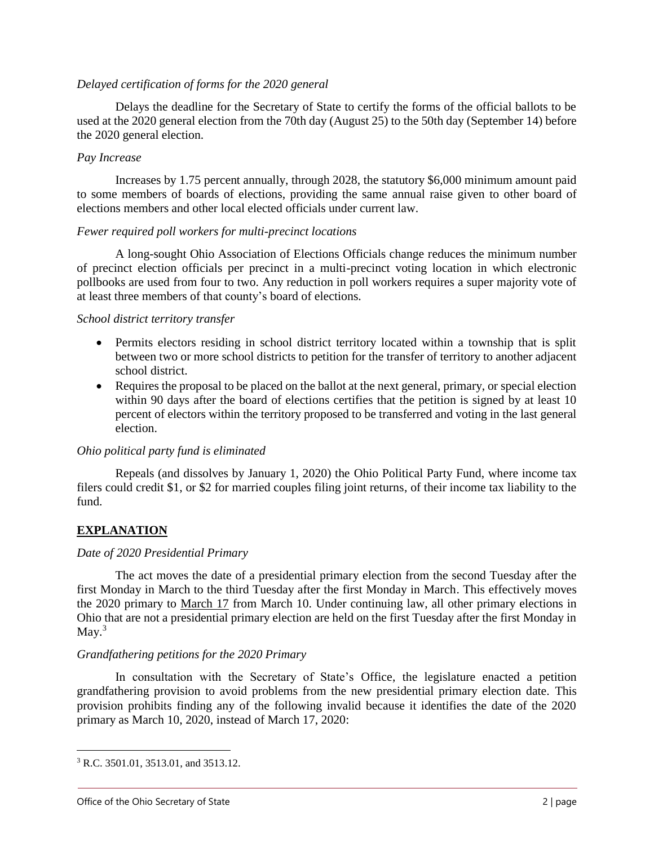### *Delayed certification of forms for the 2020 general*

Delays the deadline for the Secretary of State to certify the forms of the official ballots to be used at the 2020 general election from the 70th day (August 25) to the 50th day (September 14) before the 2020 general election.

## *Pay Increase*

Increases by 1.75 percent annually, through 2028, the statutory \$6,000 minimum amount paid to some members of boards of elections, providing the same annual raise given to other board of elections members and other local elected officials under current law.

## *Fewer required poll workers for multi-precinct locations*

A long-sought Ohio Association of Elections Officials change reduces the minimum number of precinct election officials per precinct in a multi-precinct voting location in which electronic pollbooks are used from four to two. Any reduction in poll workers requires a super majority vote of at least three members of that county's board of elections.

## *School district territory transfer*

- Permits electors residing in school district territory located within a township that is split between two or more school districts to petition for the transfer of territory to another adjacent school district.
- Requires the proposal to be placed on the ballot at the next general, primary, or special election within 90 days after the board of elections certifies that the petition is signed by at least 10 percent of electors within the territory proposed to be transferred and voting in the last general election.

# *Ohio political party fund is eliminated*

Repeals (and dissolves by January 1, 2020) the Ohio Political Party Fund, where income tax filers could credit \$1, or \$2 for married couples filing joint returns, of their income tax liability to the fund.

# **EXPLANATION**

# *Date of 2020 Presidential Primary*

The act moves the date of a presidential primary election from the second Tuesday after the first Monday in March to the third Tuesday after the first Monday in March. This effectively moves the 2020 primary to March 17 from March 10. Under continuing law, all other primary elections in Ohio that are not a presidential primary election are held on the first Tuesday after the first Monday in May.<sup>3</sup>

# *Grandfathering petitions for the 2020 Primary*

In consultation with the Secretary of State's Office, the legislature enacted a petition grandfathering provision to avoid problems from the new presidential primary election date. This provision prohibits finding any of the following invalid because it identifies the date of the 2020 primary as March 10, 2020, instead of March 17, 2020:

<sup>3</sup> R.C. 3501.01, 3513.01, and 3513.12.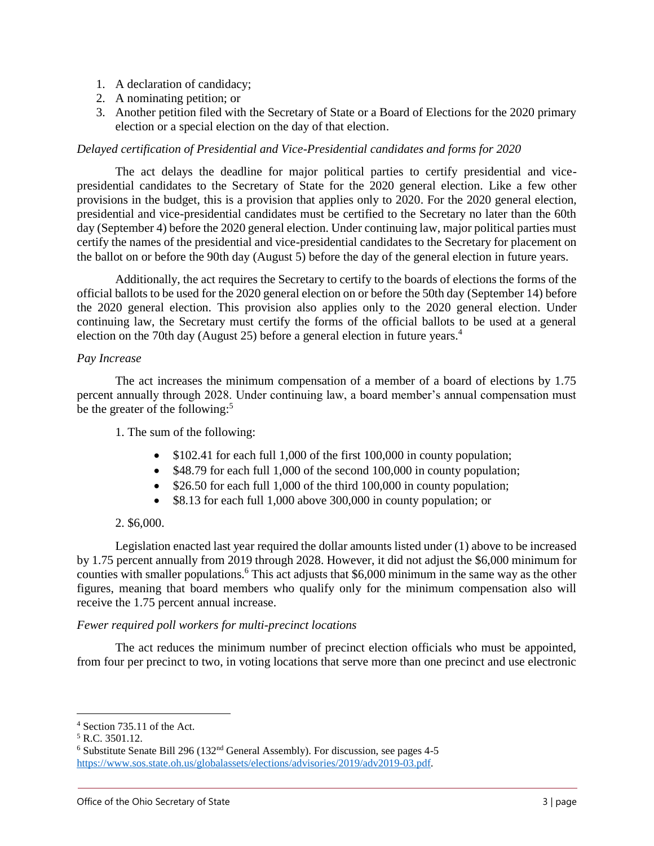- 1. A declaration of candidacy;
- 2. A nominating petition; or
- 3. Another petition filed with the Secretary of State or a Board of Elections for the 2020 primary election or a special election on the day of that election.

### *Delayed certification of Presidential and Vice-Presidential candidates and forms for 2020*

The act delays the deadline for major political parties to certify presidential and vicepresidential candidates to the Secretary of State for the 2020 general election. Like a few other provisions in the budget, this is a provision that applies only to 2020. For the 2020 general election, presidential and vice-presidential candidates must be certified to the Secretary no later than the 60th day (September 4) before the 2020 general election. Under continuing law, major political parties must certify the names of the presidential and vice-presidential candidates to the Secretary for placement on the ballot on or before the 90th day (August 5) before the day of the general election in future years.

Additionally, the act requires the Secretary to certify to the boards of elections the forms of the official ballots to be used for the 2020 general election on or before the 50th day (September 14) before the 2020 general election. This provision also applies only to the 2020 general election. Under continuing law, the Secretary must certify the forms of the official ballots to be used at a general election on the 70th day (August 25) before a general election in future years. 4

### *Pay Increase*

The act increases the minimum compensation of a member of a board of elections by 1.75 percent annually through 2028. Under continuing law, a board member's annual compensation must be the greater of the following:<sup>5</sup>

1. The sum of the following:

- $\bullet$  \$102.41 for each full 1,000 of the first 100,000 in county population;
- $\bullet$  \$48.79 for each full 1,000 of the second 100,000 in county population;
- $\bullet$  \$26.50 for each full 1,000 of the third 100,000 in county population;
- \$8.13 for each full 1,000 above 300,000 in county population; or

### 2. \$6,000.

Legislation enacted last year required the dollar amounts listed under (1) above to be increased by 1.75 percent annually from 2019 through 2028. However, it did not adjust the \$6,000 minimum for counties with smaller populations.<sup>6</sup> This act adjusts that \$6,000 minimum in the same way as the other figures, meaning that board members who qualify only for the minimum compensation also will receive the 1.75 percent annual increase.

### *Fewer required poll workers for multi-precinct locations*

The act reduces the minimum number of precinct election officials who must be appointed, from four per precinct to two, in voting locations that serve more than one precinct and use electronic

<sup>4</sup> Section 735.11 of the Act.

 $5$  R.C. 3501.12.

 $6$  Substitute Senate Bill 296 (132<sup>nd</sup> General Assembly). For discussion, see pages 4-5 [https://www.sos.state.oh.us/globalassets/elections/advisories/2019/adv2019-03.pdf.](https://www.sos.state.oh.us/globalassets/elections/advisories/2019/adv2019-03.pdf)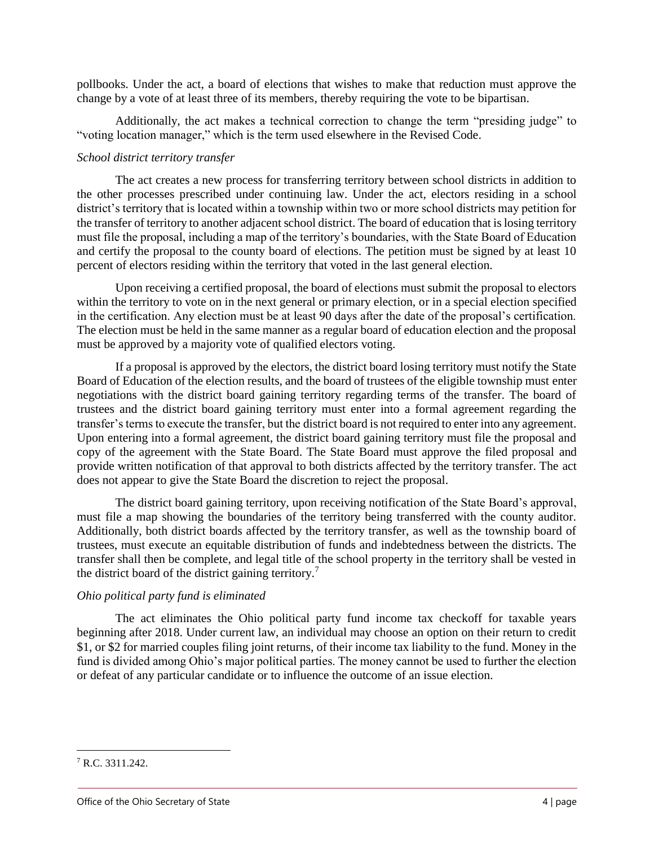pollbooks. Under the act, a board of elections that wishes to make that reduction must approve the change by a vote of at least three of its members, thereby requiring the vote to be bipartisan.

Additionally, the act makes a technical correction to change the term "presiding judge" to "voting location manager," which is the term used elsewhere in the Revised Code.

## *School district territory transfer*

The act creates a new process for transferring territory between school districts in addition to the other processes prescribed under continuing law. Under the act, electors residing in a school district's territory that is located within a township within two or more school districts may petition for the transfer of territory to another adjacent school district. The board of education that is losing territory must file the proposal, including a map of the territory's boundaries, with the State Board of Education and certify the proposal to the county board of elections. The petition must be signed by at least 10 percent of electors residing within the territory that voted in the last general election.

Upon receiving a certified proposal, the board of elections must submit the proposal to electors within the territory to vote on in the next general or primary election, or in a special election specified in the certification. Any election must be at least 90 days after the date of the proposal's certification. The election must be held in the same manner as a regular board of education election and the proposal must be approved by a majority vote of qualified electors voting.

If a proposal is approved by the electors, the district board losing territory must notify the State Board of Education of the election results, and the board of trustees of the eligible township must enter negotiations with the district board gaining territory regarding terms of the transfer. The board of trustees and the district board gaining territory must enter into a formal agreement regarding the transfer's terms to execute the transfer, but the district board is not required to enter into any agreement. Upon entering into a formal agreement, the district board gaining territory must file the proposal and copy of the agreement with the State Board. The State Board must approve the filed proposal and provide written notification of that approval to both districts affected by the territory transfer. The act does not appear to give the State Board the discretion to reject the proposal.

The district board gaining territory, upon receiving notification of the State Board's approval, must file a map showing the boundaries of the territory being transferred with the county auditor. Additionally, both district boards affected by the territory transfer, as well as the township board of trustees, must execute an equitable distribution of funds and indebtedness between the districts. The transfer shall then be complete, and legal title of the school property in the territory shall be vested in the district board of the district gaining territory.<sup>7</sup>

# *Ohio political party fund is eliminated*

The act eliminates the Ohio political party fund income tax checkoff for taxable years beginning after 2018. Under current law, an individual may choose an option on their return to credit \$1, or \$2 for married couples filing joint returns, of their income tax liability to the fund. Money in the fund is divided among Ohio's major political parties. The money cannot be used to further the election or defeat of any particular candidate or to influence the outcome of an issue election.

<sup>7</sup> R.C. 3311.242.